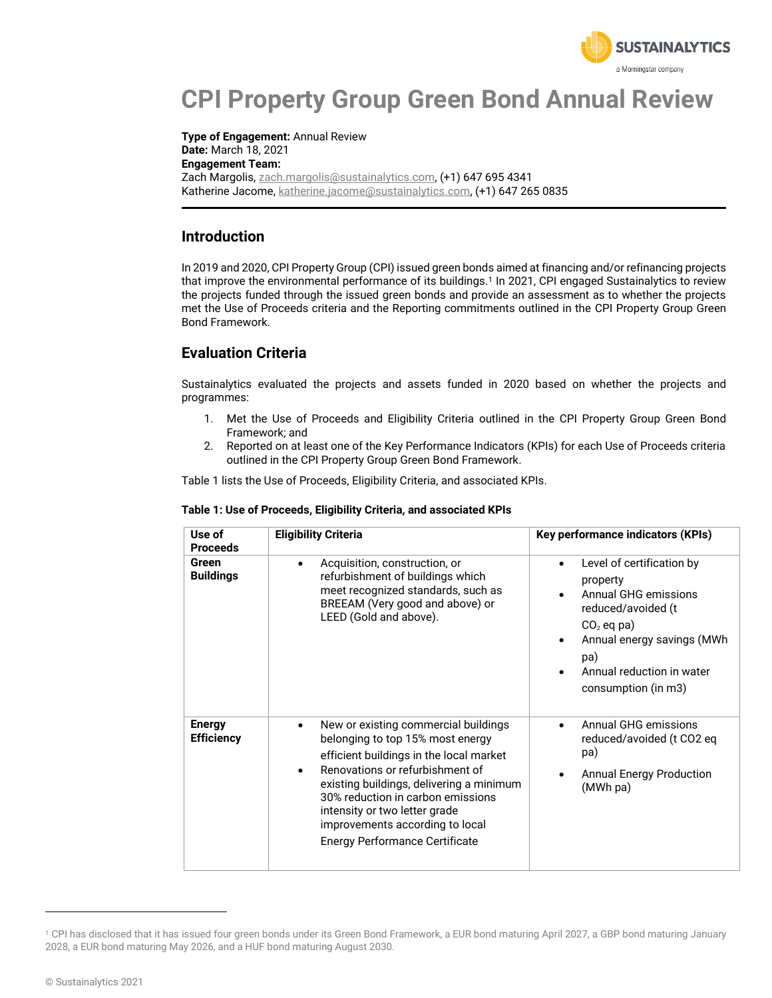

# **CPI Property Group Green Bond Annual Review**

**Type of Engagement:** Annual Review **Date:** March 18, 2021 **Engagement Team:** Zach Margolis, zach.margolis@sustainalytics.com, (+1) 647 695 4341 Katherine Jacome, katherine.jacome@sustainalytics.com, (+1) 647 265 0835

### **Introduction**

In 2019 and 2020, CPI Property Group (CPI) issued green bonds aimed at financing and/or refinancing projects that improve the environmental performance of its buildings.<sup>1</sup> In 2021, CPI engaged Sustainalytics to review the projects funded through the issued green bonds and provide an assessment as to whether the projects met the Use of Proceeds criteria and the Reporting commitments outlined in the CPI Property Group Green Bond Framework.

## **Evaluation Criteria**

Sustainalytics evaluated the projects and assets funded in 2020 based on whether the projects and programmes:

- 1. Met the Use of Proceeds and Eligibility Criteria outlined in the CPI Property Group Green Bond Framework; and
- 2. Reported on at least one of the Key Performance Indicators (KPIs) for each Use of Proceeds criteria outlined in the CPI Property Group Green Bond Framework.

Table 1 lists the Use of Proceeds, Eligibility Criteria, and associated KPIs.

| Use of<br><b>Proceeds</b>          | <b>Eligibility Criteria</b>                                                                                                                                                                                                                                                                                                                                       | Key performance indicators (KPIs)                                                                                                                                                                                      |
|------------------------------------|-------------------------------------------------------------------------------------------------------------------------------------------------------------------------------------------------------------------------------------------------------------------------------------------------------------------------------------------------------------------|------------------------------------------------------------------------------------------------------------------------------------------------------------------------------------------------------------------------|
| Green<br><b>Buildings</b>          | Acquisition, construction, or<br>$\bullet$<br>refurbishment of buildings which<br>meet recognized standards, such as<br>BREEAM (Very good and above) or<br>LEED (Gold and above).                                                                                                                                                                                 | Level of certification by<br>$\bullet$<br>property<br>Annual GHG emissions<br>reduced/avoided (t<br>$CO2$ eq pa)<br>Annual energy savings (MWh<br>$\bullet$<br>pa)<br>Annual reduction in water<br>consumption (in m3) |
| <b>Energy</b><br><b>Efficiency</b> | New or existing commercial buildings<br>$\bullet$<br>belonging to top 15% most energy<br>efficient buildings in the local market<br>Renovations or refurbishment of<br>existing buildings, delivering a minimum<br>30% reduction in carbon emissions<br>intensity or two letter grade<br>improvements according to local<br><b>Energy Performance Certificate</b> | Annual GHG emissions<br>$\bullet$<br>reduced/avoided (t CO2 eq<br>pa)<br><b>Annual Energy Production</b><br>(MWh pa)                                                                                                   |

#### **Table 1: Use of Proceeds, Eligibility Criteria, and associated KPIs**

<sup>&</sup>lt;sup>1</sup> CPI has disclosed that it has issued four green bonds under its Green Bond Framework, a EUR bond maturing April 2027, a GBP bond maturing January 2028, a EUR bond maturing May 2026, and a HUF bond maturing August 2030.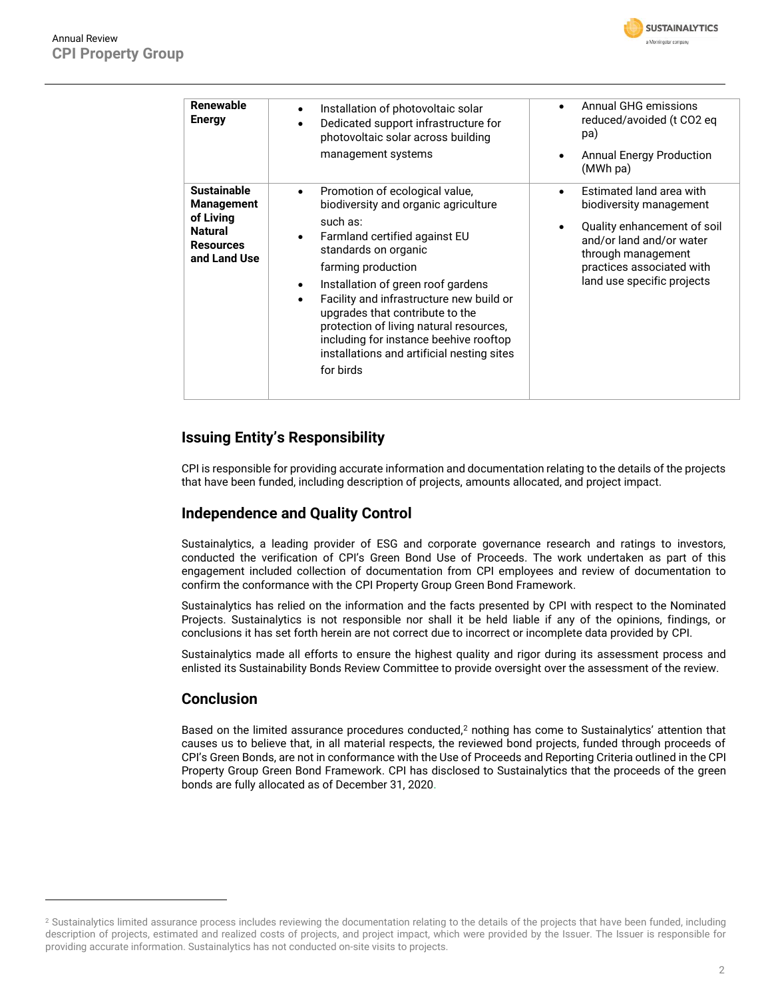

| Renewable<br><b>Energy</b>                                                                                 | Installation of photovoltaic solar<br>Dedicated support infrastructure for<br>photovoltaic solar across building<br>management systems                                                                                                                                                                                                                                                                                                                                | Annual GHG emissions<br>reduced/avoided (t CO2 eq<br>pa)<br><b>Annual Energy Production</b><br>(MWh pa)                                                                                                             |
|------------------------------------------------------------------------------------------------------------|-----------------------------------------------------------------------------------------------------------------------------------------------------------------------------------------------------------------------------------------------------------------------------------------------------------------------------------------------------------------------------------------------------------------------------------------------------------------------|---------------------------------------------------------------------------------------------------------------------------------------------------------------------------------------------------------------------|
| <b>Sustainable</b><br><b>Management</b><br>of Living<br><b>Natural</b><br><b>Resources</b><br>and Land Use | Promotion of ecological value,<br>$\bullet$<br>biodiversity and organic agriculture<br>such as:<br>Farmland certified against EU<br>standards on organic<br>farming production<br>Installation of green roof gardens<br>٠<br>Facility and infrastructure new build or<br>$\bullet$<br>upgrades that contribute to the<br>protection of living natural resources,<br>including for instance beehive rooftop<br>installations and artificial nesting sites<br>for birds | <b>Estimated land area with</b><br>$\bullet$<br>biodiversity management<br>Quality enhancement of soil<br>and/or land and/or water<br>through management<br>practices associated with<br>land use specific projects |

## **Issuing Entity's Responsibility**

CPI is responsible for providing accurate information and documentation relating to the details of the projects that have been funded, including description of projects, amounts allocated, and project impact.

### **Independence and Quality Control**

Sustainalytics, a leading provider of ESG and corporate governance research and ratings to investors, conducted the verification of CPI's Green Bond Use of Proceeds. The work undertaken as part of this engagement included collection of documentation from CPI employees and review of documentation to confirm the conformance with the CPI Property Group Green Bond Framework.

Sustainalytics has relied on the information and the facts presented by CPI with respect to the Nominated Projects. Sustainalytics is not responsible nor shall it be held liable if any of the opinions, findings, or conclusions it has set forth herein are not correct due to incorrect or incomplete data provided by CPI.

Sustainalytics made all efforts to ensure the highest quality and rigor during its assessment process and enlisted its Sustainability Bonds Review Committee to provide oversight over the assessment of the review.

### **Conclusion**

Based on the limited assurance procedures conducted,<sup>2</sup> nothing has come to Sustainalytics' attention that causes us to believe that, in all material respects, the reviewed bond projects, funded through proceeds of CPI's Green Bonds, are not in conformance with the Use of Proceeds and Reporting Criteria outlined in the CPI Property Group Green Bond Framework. CPI has disclosed to Sustainalytics that the proceeds of the green bonds are fully allocated as of December 31, 2020.

<sup>&</sup>lt;sup>2</sup> Sustainalytics limited assurance process includes reviewing the documentation relating to the details of the projects that have been funded, including description of projects, estimated and realized costs of projects, and project impact, which were provided by the Issuer. The Issuer is responsible for providing accurate information. Sustainalytics has not conducted on-site visits to projects.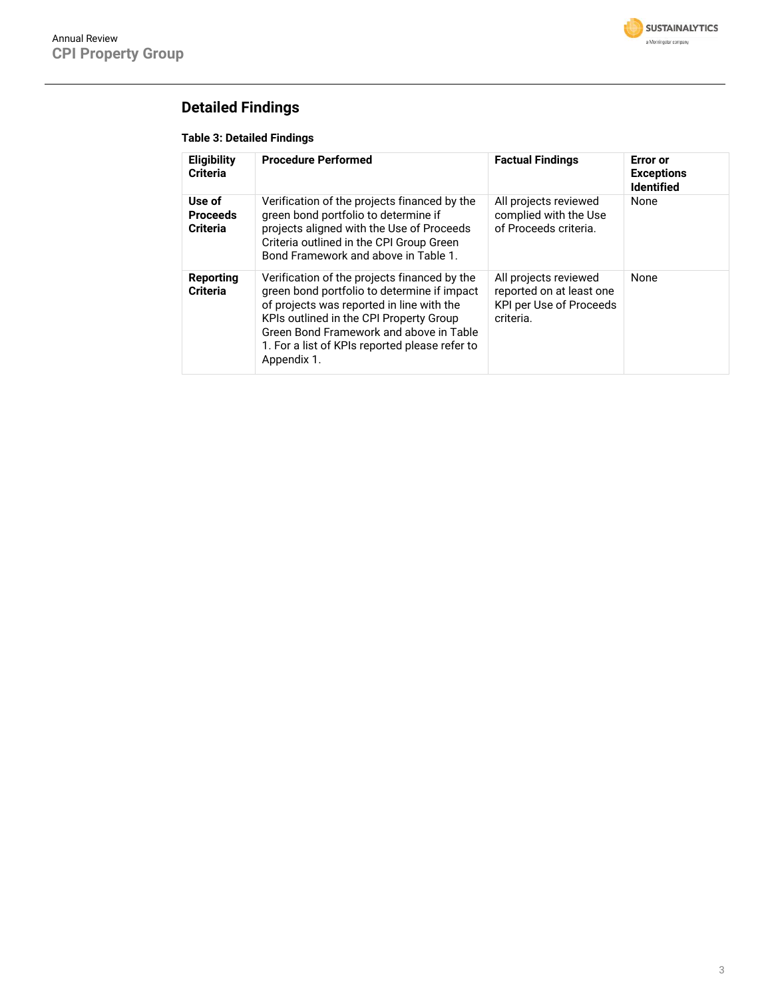

# **Detailed Findings**

#### **Table 3: Detailed Findings**

| <b>Eligibility</b><br><b>Criteria</b>        | <b>Procedure Performed</b>                                                                                                                                                                                                                                                                      | <b>Factual Findings</b>                                                                   | <b>Error</b> or<br><b>Exceptions</b><br><b>Identified</b> |
|----------------------------------------------|-------------------------------------------------------------------------------------------------------------------------------------------------------------------------------------------------------------------------------------------------------------------------------------------------|-------------------------------------------------------------------------------------------|-----------------------------------------------------------|
| Use of<br><b>Proceeds</b><br><b>Criteria</b> | Verification of the projects financed by the<br>green bond portfolio to determine if<br>projects aligned with the Use of Proceeds<br>Criteria outlined in the CPI Group Green<br>Bond Framework and above in Table 1.                                                                           | All projects reviewed<br>complied with the Use<br>of Proceeds criteria.                   | None                                                      |
| Reporting<br><b>Criteria</b>                 | Verification of the projects financed by the<br>green bond portfolio to determine if impact<br>of projects was reported in line with the<br>KPIs outlined in the CPI Property Group<br>Green Bond Framework and above in Table<br>1. For a list of KPIs reported please refer to<br>Appendix 1. | All projects reviewed<br>reported on at least one<br>KPI per Use of Proceeds<br>criteria. | None                                                      |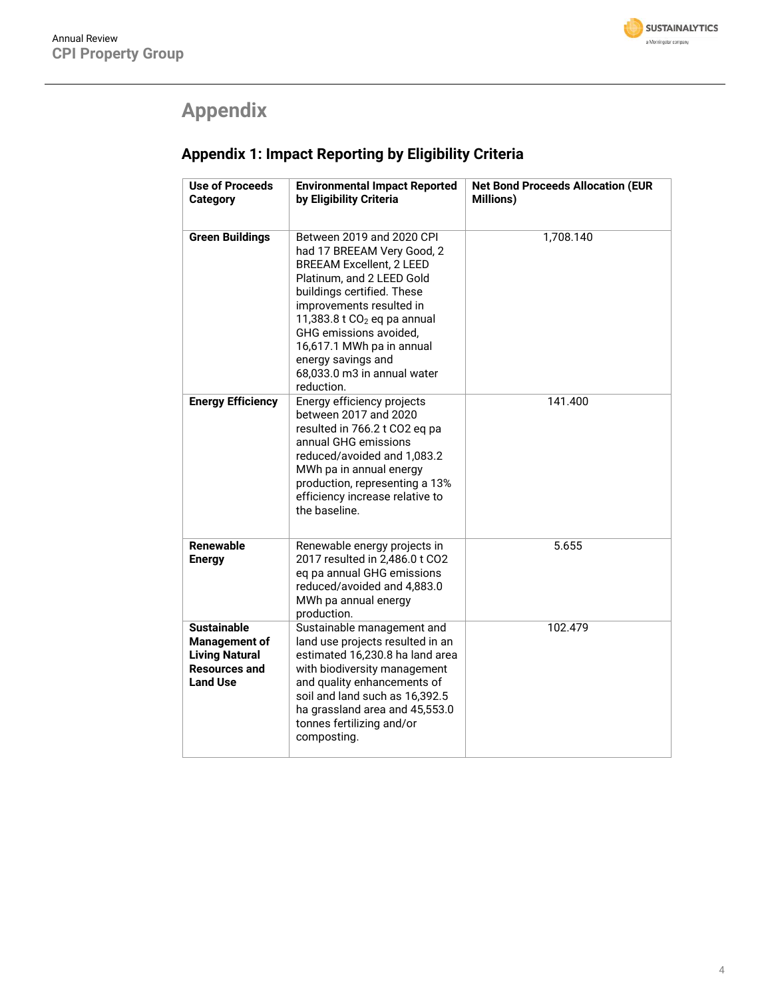

# **Appendix**

# **Appendix 1: Impact Reporting by Eligibility Criteria**

| Use of Proceeds<br><b>Category</b>                                                                             | <b>Environmental Impact Reported</b><br>by Eligibility Criteria                                                                                                                                                                                                                                                                              | <b>Net Bond Proceeds Allocation (EUR</b><br><b>Millions)</b> |
|----------------------------------------------------------------------------------------------------------------|----------------------------------------------------------------------------------------------------------------------------------------------------------------------------------------------------------------------------------------------------------------------------------------------------------------------------------------------|--------------------------------------------------------------|
|                                                                                                                |                                                                                                                                                                                                                                                                                                                                              |                                                              |
| <b>Green Buildings</b>                                                                                         | Between 2019 and 2020 CPI<br>had 17 BREEAM Very Good, 2<br><b>BREEAM Excellent, 2 LEED</b><br>Platinum, and 2 LEED Gold<br>buildings certified. These<br>improvements resulted in<br>11,383.8 t $CO2$ eq pa annual<br>GHG emissions avoided,<br>16,617.1 MWh pa in annual<br>energy savings and<br>68,033.0 m3 in annual water<br>reduction. | 1,708.140                                                    |
| <b>Energy Efficiency</b>                                                                                       | Energy efficiency projects<br>between 2017 and 2020<br>resulted in 766.2 t CO2 eq pa<br>annual GHG emissions<br>reduced/avoided and 1,083.2<br>MWh pa in annual energy<br>production, representing a 13%<br>efficiency increase relative to<br>the baseline.                                                                                 | 141.400                                                      |
| Renewable<br><b>Energy</b>                                                                                     | Renewable energy projects in<br>2017 resulted in 2,486.0 t CO2<br>eq pa annual GHG emissions<br>reduced/avoided and 4,883.0<br>MWh pa annual energy<br>production.                                                                                                                                                                           | 5.655                                                        |
| <b>Sustainable</b><br><b>Management of</b><br><b>Living Natural</b><br><b>Resources and</b><br><b>Land Use</b> | Sustainable management and<br>land use projects resulted in an<br>estimated 16,230.8 ha land area<br>with biodiversity management<br>and quality enhancements of<br>soil and land such as 16,392.5<br>ha grassland area and 45,553.0<br>tonnes fertilizing and/or<br>composting.                                                             | 102.479                                                      |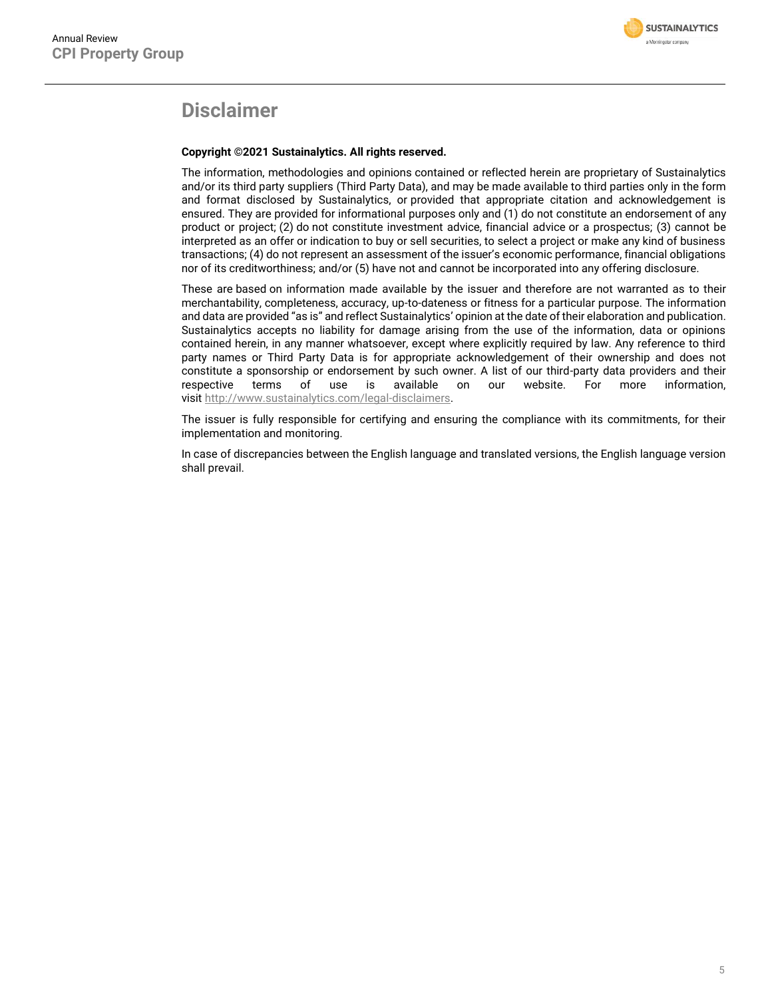

## **Disclaimer**

#### **Copyright ©2021 Sustainalytics. All rights reserved.**

The information, methodologies and opinions contained or reflected herein are proprietary of Sustainalytics and/or its third party suppliers (Third Party Data), and may be made available to third parties only in the form and format disclosed by Sustainalytics, or provided that appropriate citation and acknowledgement is ensured. They are provided for informational purposes only and (1) do not constitute an endorsement of any product or project; (2) do not constitute investment advice, financial advice or a prospectus; (3) cannot be interpreted as an offer or indication to buy or sell securities, to select a project or make any kind of business transactions; (4) do not represent an assessment of the issuer's economic performance, financial obligations nor of its creditworthiness; and/or (5) have not and cannot be incorporated into any offering disclosure.

These are based on information made available by the issuer and therefore are not warranted as to their merchantability, completeness, accuracy, up-to-dateness or fitness for a particular purpose. The information and data are provided "as is" and reflect Sustainalytics' opinion at the date of their elaboration and publication. Sustainalytics accepts no liability for damage arising from the use of the information, data or opinions contained herein, in any manner whatsoever, except where explicitly required by law. Any reference to third party names or Third Party Data is for appropriate acknowledgement of their ownership and does not constitute a sponsorship or endorsement by such owner. A list of our third-party data providers and their respective terms of use is available on our website. For more information, visit [http://www.sustainalytics.com/legal-disclaimers.](http://www.sustainalytics.com/legal-disclaimers)

The issuer is fully responsible for certifying and ensuring the compliance with its commitments, for their implementation and monitoring.

In case of discrepancies between the English language and translated versions, the English language version shall prevail.